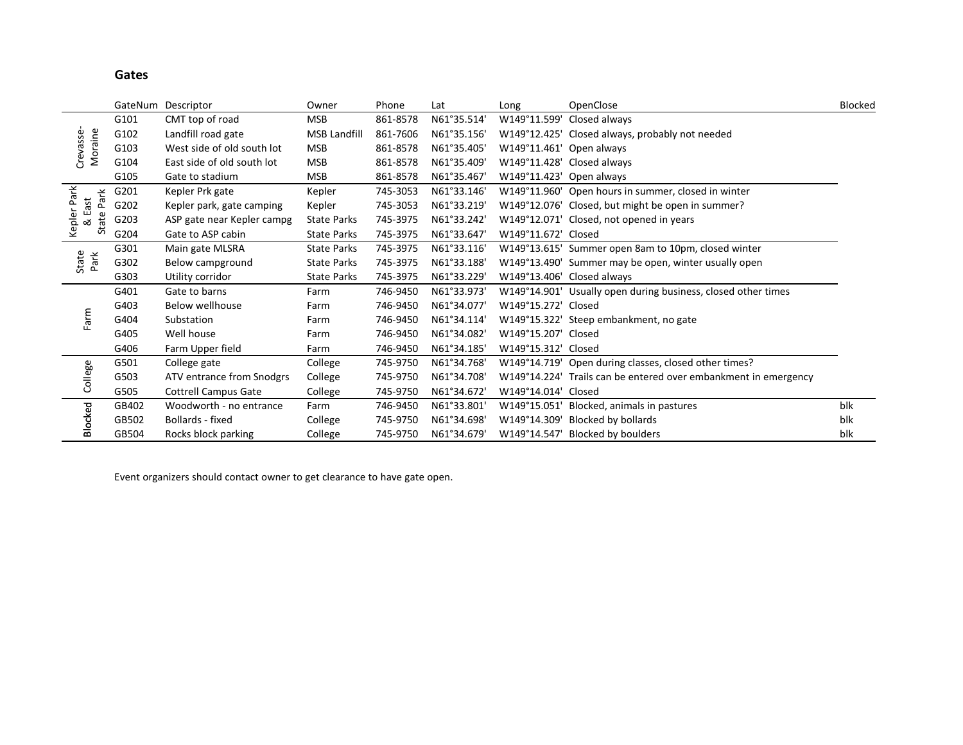**Gates**

|                             |       | GateNum Descriptor          | Owner               | Phone    | Lat         | Long                     | OpenClose                                                       | Blocked |
|-----------------------------|-------|-----------------------------|---------------------|----------|-------------|--------------------------|-----------------------------------------------------------------|---------|
|                             | G101  | CMT top of road             | <b>MSB</b>          | 861-8578 | N61°35.514' | W149°11.599'             | Closed always                                                   |         |
|                             | G102  | Landfill road gate          | <b>MSB Landfill</b> | 861-7606 | N61°35.156' |                          | W149°12.425' Closed always, probably not needed                 |         |
| Moraine<br>Crevasse         | G103  | West side of old south lot  | <b>MSB</b>          | 861-8578 | N61°35.405' | W149°11.461' Open always |                                                                 |         |
|                             | G104  | East side of old south lot  | <b>MSB</b>          | 861-8578 | N61°35.409' |                          | W149°11.428' Closed always                                      |         |
|                             | G105  | Gate to stadium             | <b>MSB</b>          | 861-8578 | N61°35.467' | W149°11.423' Open always |                                                                 |         |
|                             | G201  | Kepler Prk gate             | Kepler              | 745-3053 | N61°33.146' |                          | W149°11.960' Open hours in summer, closed in winter             |         |
| Kepler Park<br>Park<br>East | G202  | Kepler park, gate camping   | Kepler              | 745-3053 | N61°33.219' |                          | W149°12.076' Closed, but might be open in summer?               |         |
| State<br>ಷ                  | G203  | ASP gate near Kepler campg  | <b>State Parks</b>  | 745-3975 | N61°33.242' |                          | W149°12.071' Closed, not opened in years                        |         |
|                             | G204  | Gate to ASP cabin           | <b>State Parks</b>  | 745-3975 | N61°33.647' | W149°11.672' Closed      |                                                                 |         |
|                             | G301  | Main gate MLSRA             | <b>State Parks</b>  | 745-3975 | N61°33.116' |                          | W149°13.615' Summer open 8am to 10pm, closed winter             |         |
| State<br>Park               | G302  | Below campground            | <b>State Parks</b>  | 745-3975 | N61°33.188' |                          | W149°13.490' Summer may be open, winter usually open            |         |
|                             | G303  | Utility corridor            | <b>State Parks</b>  | 745-3975 | N61°33.229' |                          | W149°13.406' Closed always                                      |         |
|                             | G401  | Gate to barns               | Farm                | 746-9450 | N61°33.973' |                          | W149°14.901' Usually open during business, closed other times   |         |
|                             | G403  | <b>Below wellhouse</b>      | Farm                | 746-9450 | N61°34.077' | W149°15.272' Closed      |                                                                 |         |
| Farm                        | G404  | Substation                  | Farm                | 746-9450 | N61°34.114' |                          | W149°15.322' Steep embankment, no gate                          |         |
|                             | G405  | Well house                  | Farm                | 746-9450 | N61°34.082' | W149°15.207' Closed      |                                                                 |         |
|                             | G406  | Farm Upper field            | Farm                | 746-9450 | N61°34.185' | W149°15.312' Closed      |                                                                 |         |
|                             | G501  | College gate                | College             | 745-9750 | N61°34.768' |                          | W149°14.719' Open during classes, closed other times?           |         |
| College                     | G503  | ATV entrance from Snodgrs   | College             | 745-9750 | N61°34.708' |                          | W149°14.224' Trails can be entered over embankment in emergency |         |
|                             | G505  | <b>Cottrell Campus Gate</b> | College             | 745-9750 | N61°34.672' | W149°14.014' Closed      |                                                                 |         |
|                             | GB402 | Woodworth - no entrance     | Farm                | 746-9450 | N61°33.801' |                          | W149°15.051' Blocked, animals in pastures                       | blk     |
| Blocked                     | GB502 | Bollards - fixed            | College             | 745-9750 | N61°34.698' | W149°14.309'             | Blocked by bollards                                             | blk     |
|                             | GB504 | Rocks block parking         | College             | 745-9750 | N61°34.679' |                          | W149°14.547' Blocked by boulders                                | blk     |

Event organizers should contact owner to get clearance to have gate open.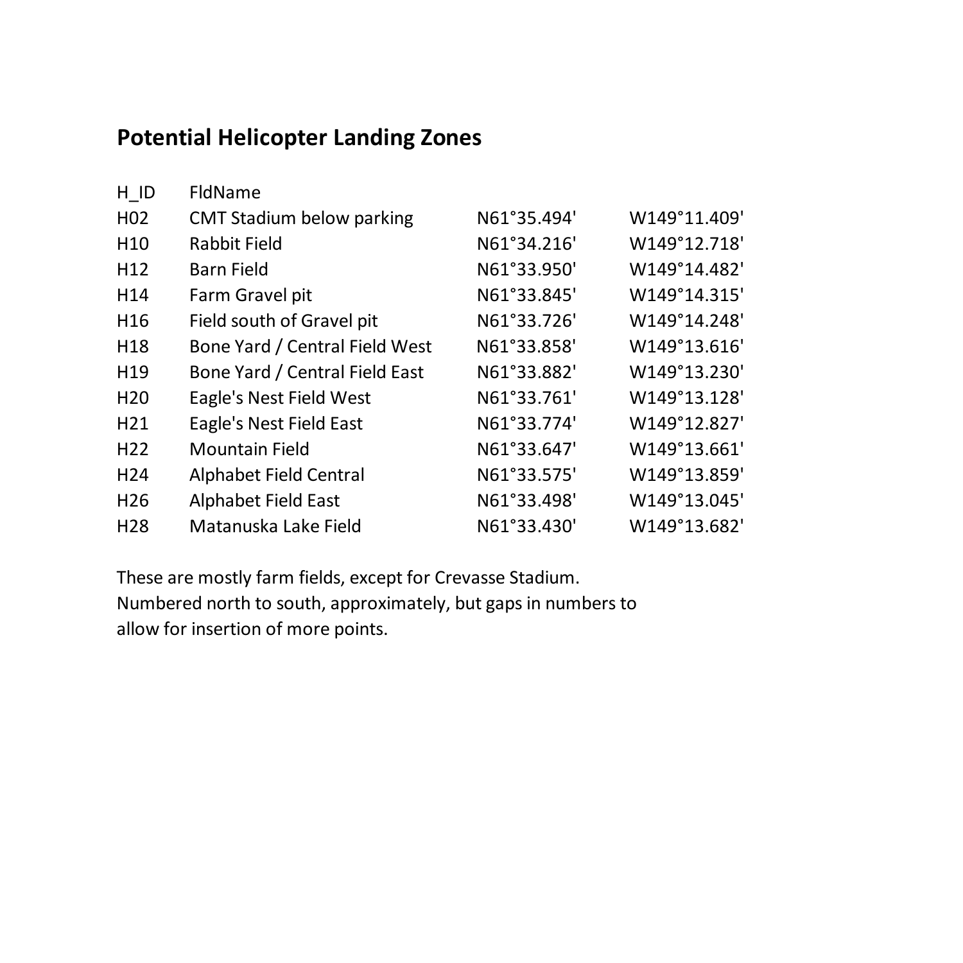## **Potential Helicopter Landing Zones**

| H ID             | FldName                          |             |              |
|------------------|----------------------------------|-------------|--------------|
| H <sub>0</sub> 2 | <b>CMT Stadium below parking</b> | N61°35.494' | W149°11.409' |
| H <sub>10</sub>  | <b>Rabbit Field</b>              | N61°34.216' | W149°12.718' |
| H <sub>12</sub>  | Barn Field                       | N61°33.950' | W149°14.482' |
| H <sub>14</sub>  | Farm Gravel pit                  | N61°33.845' | W149°14.315' |
| H16              | Field south of Gravel pit        | N61°33.726' | W149°14.248' |
| H <sub>18</sub>  | Bone Yard / Central Field West   | N61°33.858' | W149°13.616' |
| H <sub>19</sub>  | Bone Yard / Central Field East   | N61°33.882' | W149°13.230' |
| H <sub>20</sub>  | Eagle's Nest Field West          | N61°33.761' | W149°13.128' |
| H <sub>21</sub>  | Eagle's Nest Field East          | N61°33.774' | W149°12.827' |
| H <sub>22</sub>  | <b>Mountain Field</b>            | N61°33.647' | W149°13.661' |
| H <sub>24</sub>  | Alphabet Field Central           | N61°33.575' | W149°13.859' |
| H <sub>26</sub>  | Alphabet Field East              | N61°33.498' | W149°13.045' |
| H <sub>28</sub>  | Matanuska Lake Field             | N61°33.430' | W149°13.682' |

These are mostly farm fields, except for Crevasse Stadium. Numbered north to south, approximately, but gaps in numbers to allow for insertion of more points.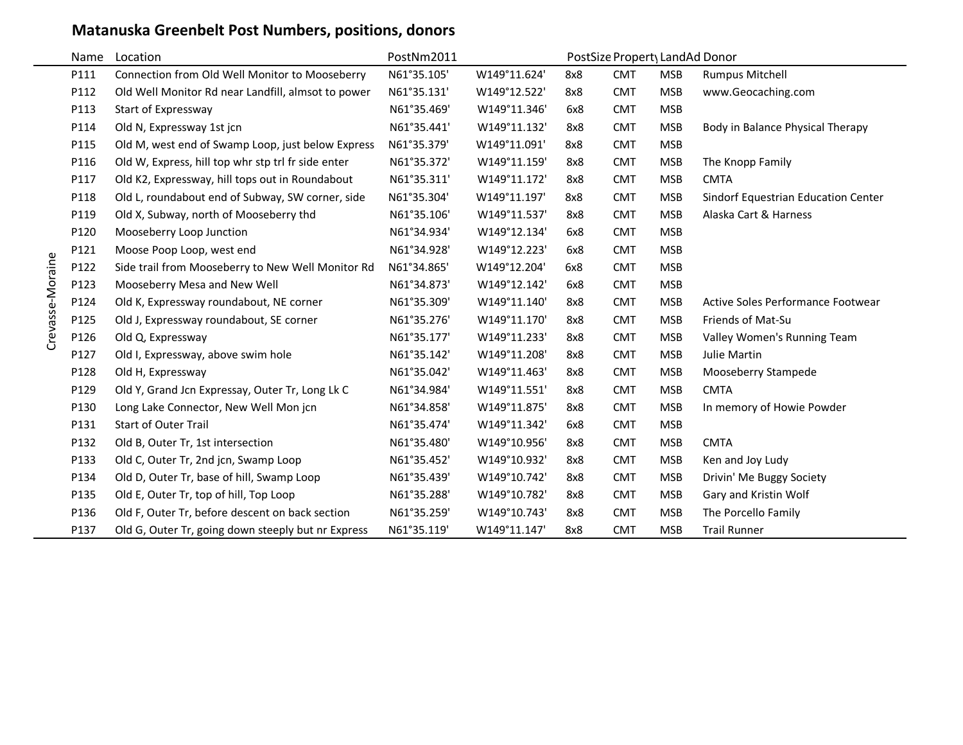## **Matanuska Greenbelt Post Numbers, positions, donors**

|                  | Name | Location                                           | PostNm2011  |              | PostSize Propert LandAd Donor |            |            |                                     |
|------------------|------|----------------------------------------------------|-------------|--------------|-------------------------------|------------|------------|-------------------------------------|
|                  | P111 | Connection from Old Well Monitor to Mooseberry     | N61°35.105' | W149°11.624' | 8x8                           | <b>CMT</b> | <b>MSB</b> | <b>Rumpus Mitchell</b>              |
|                  | P112 | Old Well Monitor Rd near Landfill, almsot to power | N61°35.131' | W149°12.522' | 8x8                           | <b>CMT</b> | <b>MSB</b> | www.Geocaching.com                  |
|                  | P113 | Start of Expressway                                | N61°35.469' | W149°11.346' | 6x8                           | <b>CMT</b> | <b>MSB</b> |                                     |
|                  | P114 | Old N, Expressway 1st jcn                          | N61°35.441' | W149°11.132' | 8x8                           | <b>CMT</b> | <b>MSB</b> | Body in Balance Physical Therapy    |
|                  | P115 | Old M, west end of Swamp Loop, just below Express  | N61°35.379' | W149°11.091' | 8x8                           | <b>CMT</b> | <b>MSB</b> |                                     |
|                  | P116 | Old W, Express, hill top whr stp trl fr side enter | N61°35.372' | W149°11.159' | 8x8                           | <b>CMT</b> | <b>MSB</b> | The Knopp Family                    |
|                  | P117 | Old K2, Expressway, hill tops out in Roundabout    | N61°35.311' | W149°11.172' | 8x8                           | <b>CMT</b> | <b>MSB</b> | <b>CMTA</b>                         |
|                  | P118 | Old L, roundabout end of Subway, SW corner, side   | N61°35.304' | W149°11.197' | 8x8                           | <b>CMT</b> | <b>MSB</b> | Sindorf Equestrian Education Center |
|                  | P119 | Old X, Subway, north of Mooseberry thd             | N61°35.106' | W149°11.537' | 8x8                           | <b>CMT</b> | <b>MSB</b> | Alaska Cart & Harness               |
|                  | P120 | Mooseberry Loop Junction                           | N61°34.934' | W149°12.134' | 6x8                           | <b>CMT</b> | <b>MSB</b> |                                     |
|                  | P121 | Moose Poop Loop, west end                          | N61°34.928' | W149°12.223' | 6x8                           | <b>CMT</b> | <b>MSB</b> |                                     |
| Crevasse-Moraine | P122 | Side trail from Mooseberry to New Well Monitor Rd  | N61°34.865' | W149°12.204' | 6x8                           | <b>CMT</b> | <b>MSB</b> |                                     |
|                  | P123 | Mooseberry Mesa and New Well                       | N61°34.873' | W149°12.142' | 6x8                           | <b>CMT</b> | <b>MSB</b> |                                     |
|                  | P124 | Old K, Expressway roundabout, NE corner            | N61°35.309' | W149°11.140' | 8x8                           | <b>CMT</b> | <b>MSB</b> | Active Soles Performance Footwear   |
|                  | P125 | Old J, Expressway roundabout, SE corner            | N61°35.276' | W149°11.170' | 8x8                           | <b>CMT</b> | <b>MSB</b> | Friends of Mat-Su                   |
|                  | P126 | Old Q, Expressway                                  | N61°35.177' | W149°11.233' | 8x8                           | <b>CMT</b> | <b>MSB</b> | Valley Women's Running Team         |
|                  | P127 | Old I, Expressway, above swim hole                 | N61°35.142' | W149°11.208' | 8x8                           | <b>CMT</b> | <b>MSB</b> | Julie Martin                        |
|                  | P128 | Old H, Expressway                                  | N61°35.042' | W149°11.463' | 8x8                           | <b>CMT</b> | <b>MSB</b> | Mooseberry Stampede                 |
|                  | P129 | Old Y, Grand Jcn Expressay, Outer Tr, Long Lk C    | N61°34.984' | W149°11.551' | 8x8                           | <b>CMT</b> | <b>MSB</b> | <b>CMTA</b>                         |
|                  | P130 | Long Lake Connector, New Well Mon jcn              | N61°34.858' | W149°11.875' | 8x8                           | <b>CMT</b> | <b>MSB</b> | In memory of Howie Powder           |
|                  | P131 | <b>Start of Outer Trail</b>                        | N61°35.474' | W149°11.342' | 6x8                           | <b>CMT</b> | <b>MSB</b> |                                     |
|                  | P132 | Old B, Outer Tr, 1st intersection                  | N61°35.480' | W149°10.956' | 8x8                           | <b>CMT</b> | <b>MSB</b> | <b>CMTA</b>                         |
|                  | P133 | Old C, Outer Tr, 2nd jcn, Swamp Loop               | N61°35.452' | W149°10.932' | 8x8                           | <b>CMT</b> | <b>MSB</b> | Ken and Joy Ludy                    |
|                  | P134 | Old D, Outer Tr, base of hill, Swamp Loop          | N61°35.439' | W149°10.742' | 8x8                           | <b>CMT</b> | <b>MSB</b> | Drivin' Me Buggy Society            |
|                  | P135 | Old E, Outer Tr, top of hill, Top Loop             | N61°35.288' | W149°10.782' | 8x8                           | <b>CMT</b> | <b>MSB</b> | Gary and Kristin Wolf               |
|                  | P136 | Old F, Outer Tr, before descent on back section    | N61°35.259' | W149°10.743' | 8x8                           | <b>CMT</b> | <b>MSB</b> | The Porcello Family                 |
|                  | P137 | Old G, Outer Tr, going down steeply but nr Express | N61°35.119' | W149°11.147' | 8x8                           | <b>CMT</b> | <b>MSB</b> | <b>Trail Runner</b>                 |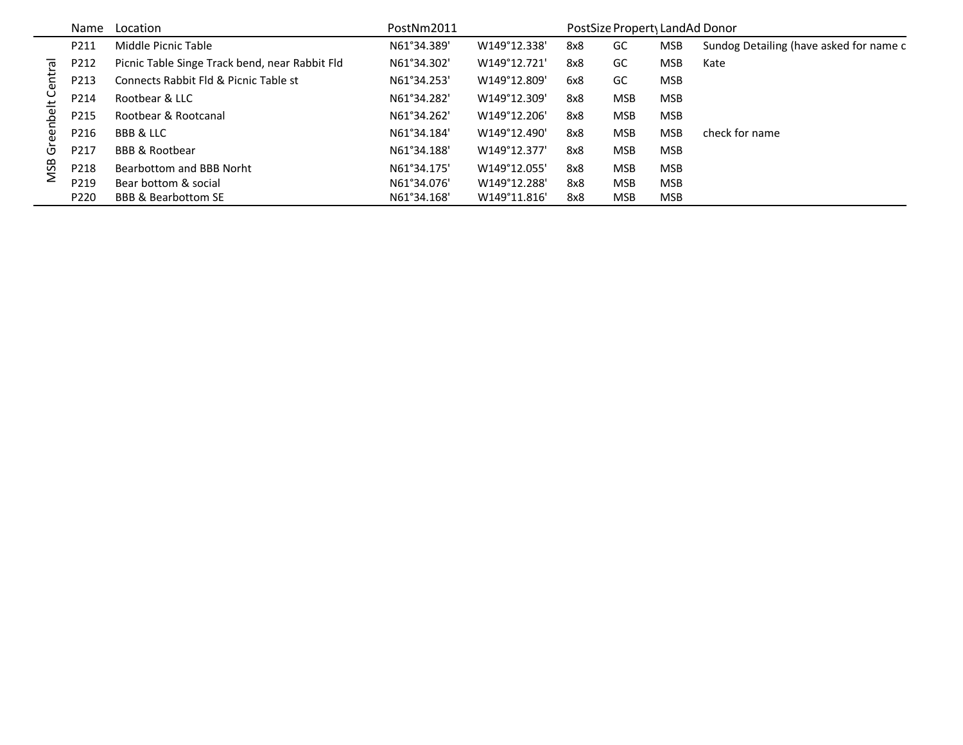|                     | <b>Name</b> | Location                                       | PostNm2011  |              |     | PostSize Propert LandAd Donor |            |                                         |
|---------------------|-------------|------------------------------------------------|-------------|--------------|-----|-------------------------------|------------|-----------------------------------------|
|                     | P211        | Middle Picnic Table                            | N61°34.389' | W149°12.338' | 8x8 | GC                            | <b>MSB</b> | Sundog Detailing (have asked for name c |
| $\overline{\sigma}$ | P212        | Picnic Table Singe Track bend, near Rabbit Fld | N61°34.302' | W149°12.721' | 8x8 | GC                            | <b>MSB</b> | Kate                                    |
| Cen                 | P213        | Connects Rabbit Fld & Picnic Table st          | N61°34.253' | W149°12.809' | 6x8 | GC                            | <b>MSB</b> |                                         |
| ᆂ                   | P214        | Rootbear & LLC                                 | N61°34.282' | W149°12.309' | 8x8 | <b>MSB</b>                    | <b>MSB</b> |                                         |
| ъе                  | P215        | Rootbear & Rootcanal                           | N61°34.262' | W149°12.206' | 8x8 | <b>MSB</b>                    | <b>MSB</b> |                                         |
| æ                   | P216        | BBB & LLC                                      | N61°34.184' | W149°12.490' | 8x8 | <b>MSB</b>                    | <b>MSB</b> | check for name                          |
| Ū                   | P217        | <b>BBB &amp; Rootbear</b>                      | N61°34.188' | W149°12.377' | 8x8 | <b>MSB</b>                    | <b>MSB</b> |                                         |
| <b>MSB</b>          | P218        | Bearbottom and BBB Norht                       | N61°34.175' | W149°12.055' | 8x8 | <b>MSB</b>                    | <b>MSB</b> |                                         |
|                     | P219        | Bear bottom & social                           | N61°34.076' | W149°12.288' | 8x8 | <b>MSB</b>                    | <b>MSB</b> |                                         |
|                     | P220        | <b>BBB &amp; Bearbottom SE</b>                 | N61°34.168' | W149°11.816' | 8x8 | <b>MSB</b>                    | <b>MSB</b> |                                         |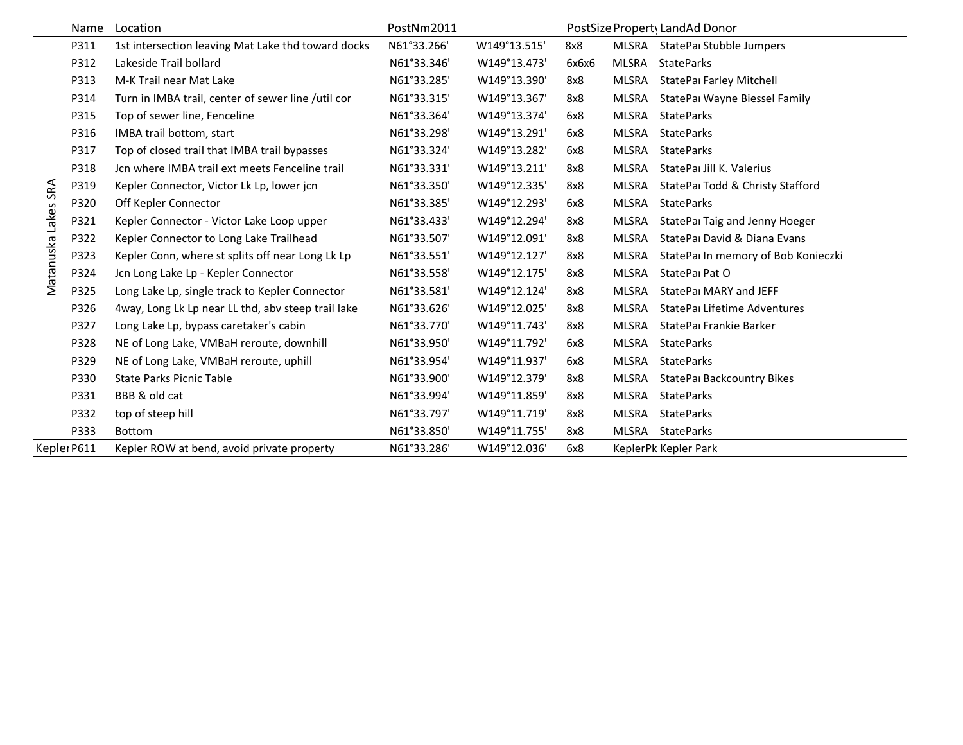|                     | Name        | Location                                           | PostNm2011  |              |       |       | PostSize Propert LandAd Donor       |
|---------------------|-------------|----------------------------------------------------|-------------|--------------|-------|-------|-------------------------------------|
|                     | P311        | 1st intersection leaving Mat Lake thd toward docks | N61°33.266' | W149°13.515' | 8x8   | MLSRA | StatePar Stubble Jumpers            |
|                     | P312        | Lakeside Trail bollard                             | N61°33.346' | W149°13.473' | 6х6х6 | MLSRA | <b>StateParks</b>                   |
|                     | P313        | M-K Trail near Mat Lake                            | N61°33.285' | W149°13.390' | 8x8   | MLSRA | <b>StatePar Farley Mitchell</b>     |
|                     | P314        | Turn in IMBA trail, center of sewer line /util cor | N61°33.315' | W149°13.367' | 8x8   | MLSRA | StatePar Wayne Biessel Family       |
|                     | P315        | Top of sewer line, Fenceline                       | N61°33.364' | W149°13.374' | 6x8   | MLSRA | <b>StateParks</b>                   |
|                     | P316        | IMBA trail bottom, start                           | N61°33.298' | W149°13.291' | 6x8   | MLSRA | <b>StateParks</b>                   |
|                     | P317        | Top of closed trail that IMBA trail bypasses       | N61°33.324' | W149°13.282' | 6x8   | MLSRA | <b>StateParks</b>                   |
|                     | P318        | Jcn where IMBA trail ext meets Fenceline trail     | N61°33.331' | W149°13.211' | 8x8   | MLSRA | StatePar Jill K. Valerius           |
|                     | P319        | Kepler Connector, Victor Lk Lp, lower jcn          | N61°33.350' | W149°12.335' | 8x8   | MLSRA | StatePar Todd & Christy Stafford    |
| Matanuska Lakes SRA | P320        | Off Kepler Connector                               | N61°33.385' | W149°12.293' | 6x8   | MLSRA | <b>StateParks</b>                   |
|                     | P321        | Kepler Connector - Victor Lake Loop upper          | N61°33.433' | W149°12.294' | 8x8   | MLSRA | StatePar Taig and Jenny Hoeger      |
|                     | P322        | Kepler Connector to Long Lake Trailhead            | N61°33.507' | W149°12.091' | 8x8   | MLSRA | StatePar David & Diana Evans        |
|                     | P323        | Kepler Conn, where st splits off near Long Lk Lp   | N61°33.551' | W149°12.127' | 8x8   | MLSRA | StatePar In memory of Bob Konieczki |
|                     | P324        | Jcn Long Lake Lp - Kepler Connector                | N61°33.558' | W149°12.175' | 8x8   | MLSRA | StatePar Pat O                      |
|                     | P325        | Long Lake Lp, single track to Kepler Connector     | N61°33.581' | W149°12.124' | 8x8   | MLSRA | StatePar MARY and JEFF              |
|                     | P326        | 4way, Long Lk Lp near LL thd, abv steep trail lake | N61°33.626' | W149°12.025' | 8x8   | MLSRA | StatePar Lifetime Adventures        |
|                     | P327        | Long Lake Lp, bypass caretaker's cabin             | N61°33.770' | W149°11.743' | 8x8   | MLSRA | StatePar Frankie Barker             |
|                     | P328        | NE of Long Lake, VMBaH reroute, downhill           | N61°33.950' | W149°11.792' | 6x8   | MLSRA | <b>StateParks</b>                   |
|                     | P329        | NE of Long Lake, VMBaH reroute, uphill             | N61°33.954' | W149°11.937' | 6x8   | MLSRA | <b>StateParks</b>                   |
|                     | P330        | <b>State Parks Picnic Table</b>                    | N61°33.900' | W149°12.379' | 8x8   | MLSRA | <b>StatePar Backcountry Bikes</b>   |
|                     | P331        | BBB & old cat                                      | N61°33.994' | W149°11.859' | 8x8   | MLSRA | <b>StateParks</b>                   |
|                     | P332        | top of steep hill                                  | N61°33.797' | W149°11.719' | 8x8   | MLSRA | <b>StateParks</b>                   |
|                     | P333        | <b>Bottom</b>                                      | N61°33.850' | W149°11.755' | 8x8   | MLSRA | <b>StateParks</b>                   |
|                     | Keplei P611 | Kepler ROW at bend, avoid private property         | N61°33.286' | W149°12.036' | 6x8   |       | KeplerPk Kepler Park                |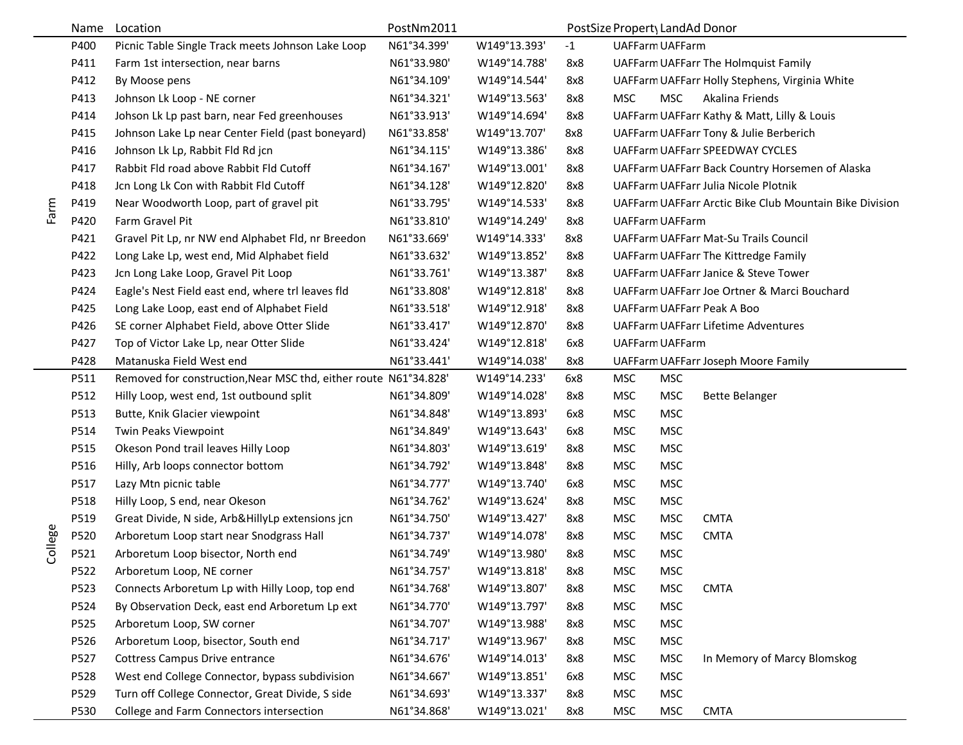|         | Name | Location                                                         | PostNm2011  |              |      | PostSize Propert LandAd Donor |            |                                                         |
|---------|------|------------------------------------------------------------------|-------------|--------------|------|-------------------------------|------------|---------------------------------------------------------|
|         | P400 | Picnic Table Single Track meets Johnson Lake Loop                | N61°34.399' | W149°13.393' | $-1$ | <b>UAFFarm UAFFarm</b>        |            |                                                         |
|         | P411 | Farm 1st intersection, near barns                                | N61°33.980' | W149°14.788' | 8x8  |                               |            | UAFFarm UAFFarr The Holmquist Family                    |
|         | P412 | By Moose pens                                                    | N61°34.109' | W149°14.544' | 8x8  |                               |            | UAFFarm UAFFarr Holly Stephens, Virginia White          |
|         | P413 | Johnson Lk Loop - NE corner                                      | N61°34.321' | W149°13.563' | 8x8  | <b>MSC</b>                    | <b>MSC</b> | Akalina Friends                                         |
|         | P414 | Johson Lk Lp past barn, near Fed greenhouses                     | N61°33.913' | W149°14.694' | 8x8  |                               |            | UAFFarm UAFFarr Kathy & Matt, Lilly & Louis             |
|         | P415 | Johnson Lake Lp near Center Field (past boneyard)                | N61°33.858' | W149°13.707' | 8x8  |                               |            | UAFFarm UAFFarr Tony & Julie Berberich                  |
|         | P416 | Johnson Lk Lp, Rabbit Fld Rd jcn                                 | N61°34.115' | W149°13.386' | 8x8  |                               |            | UAFFarm UAFFarr SPEEDWAY CYCLES                         |
|         | P417 | Rabbit Fld road above Rabbit Fld Cutoff                          | N61°34.167' | W149°13.001' | 8x8  |                               |            | UAFFarm UAFFarr Back Country Horsemen of Alaska         |
|         | P418 | Jcn Long Lk Con with Rabbit Fld Cutoff                           | N61°34.128' | W149°12.820' | 8x8  |                               |            | UAFFarm UAFFarr Julia Nicole Plotnik                    |
| Farm    | P419 | Near Woodworth Loop, part of gravel pit                          | N61°33.795' | W149°14.533' | 8x8  |                               |            | UAFFarm UAFFarr Arctic Bike Club Mountain Bike Division |
|         | P420 | Farm Gravel Pit                                                  | N61°33.810' | W149°14.249' | 8x8  | <b>UAFFarm UAFFarm</b>        |            |                                                         |
|         | P421 | Gravel Pit Lp, nr NW end Alphabet Fld, nr Breedon                | N61°33.669' | W149°14.333' | 8x8  |                               |            | UAFFarm UAFFarr Mat-Su Trails Council                   |
|         | P422 | Long Lake Lp, west end, Mid Alphabet field                       | N61°33.632' | W149°13.852' | 8x8  |                               |            | UAFFarm UAFFarr The Kittredge Family                    |
|         | P423 | Jcn Long Lake Loop, Gravel Pit Loop                              | N61°33.761' | W149°13.387' | 8x8  |                               |            | UAFFarm UAFFarr Janice & Steve Tower                    |
|         | P424 | Eagle's Nest Field east end, where trl leaves fld                | N61°33.808' | W149°12.818' | 8x8  |                               |            | UAFFarm UAFFarr Joe Ortner & Marci Bouchard             |
|         | P425 | Long Lake Loop, east end of Alphabet Field                       | N61°33.518' | W149°12.918' | 8x8  |                               |            | UAFFarm UAFFarr Peak A Boo                              |
|         | P426 | SE corner Alphabet Field, above Otter Slide                      | N61°33.417' | W149°12.870' | 8x8  |                               |            | <b>UAFFarm UAFFarr Lifetime Adventures</b>              |
|         | P427 | Top of Victor Lake Lp, near Otter Slide                          | N61°33.424' | W149°12.818' | 6x8  | <b>UAFFarm UAFFarm</b>        |            |                                                         |
|         | P428 | Matanuska Field West end                                         | N61°33.441' | W149°14.038' | 8x8  |                               |            | UAFFarm UAFFarr Joseph Moore Family                     |
|         | P511 | Removed for construction, Near MSC thd, either route N61°34.828' |             | W149°14.233' | 6x8  | <b>MSC</b>                    | <b>MSC</b> |                                                         |
|         | P512 | Hilly Loop, west end, 1st outbound split                         | N61°34.809' | W149°14.028' | 8x8  | <b>MSC</b>                    | <b>MSC</b> | <b>Bette Belanger</b>                                   |
|         | P513 | Butte, Knik Glacier viewpoint                                    | N61°34.848' | W149°13.893' | 6x8  | <b>MSC</b>                    | <b>MSC</b> |                                                         |
|         | P514 | Twin Peaks Viewpoint                                             | N61°34.849' | W149°13.643' | 6x8  | <b>MSC</b>                    | <b>MSC</b> |                                                         |
|         | P515 | Okeson Pond trail leaves Hilly Loop                              | N61°34.803' | W149°13.619' | 8x8  | <b>MSC</b>                    | <b>MSC</b> |                                                         |
|         | P516 | Hilly, Arb loops connector bottom                                | N61°34.792' | W149°13.848' | 8x8  | <b>MSC</b>                    | <b>MSC</b> |                                                         |
|         | P517 | Lazy Mtn picnic table                                            | N61°34.777' | W149°13.740' | 6x8  | <b>MSC</b>                    | <b>MSC</b> |                                                         |
|         | P518 | Hilly Loop, S end, near Okeson                                   | N61°34.762' | W149°13.624' | 8x8  | <b>MSC</b>                    | <b>MSC</b> |                                                         |
|         | P519 | Great Divide, N side, Arb&HillyLp extensions jcn                 | N61°34.750' | W149°13.427' | 8x8  | <b>MSC</b>                    | <b>MSC</b> | <b>CMTA</b>                                             |
| College | P520 | Arboretum Loop start near Snodgrass Hall                         | N61°34.737' | W149°14.078' | 8x8  | <b>MSC</b>                    | <b>MSC</b> | <b>CMTA</b>                                             |
|         | P521 | Arboretum Loop bisector, North end                               | N61°34.749' | W149°13.980' | 8x8  | <b>MSC</b>                    | <b>MSC</b> |                                                         |
|         | P522 | Arboretum Loop, NE corner                                        | N61°34.757' | W149°13.818' | 8x8  | <b>MSC</b>                    | <b>MSC</b> |                                                         |
|         | P523 | Connects Arboretum Lp with Hilly Loop, top end                   | N61°34.768' | W149°13.807' | 8x8  | <b>MSC</b>                    | <b>MSC</b> | <b>CMTA</b>                                             |
|         | P524 | By Observation Deck, east end Arboretum Lp ext                   | N61°34.770' | W149°13.797' | 8x8  | <b>MSC</b>                    | <b>MSC</b> |                                                         |
|         | P525 | Arboretum Loop, SW corner                                        | N61°34.707' | W149°13.988' | 8x8  | <b>MSC</b>                    | <b>MSC</b> |                                                         |
|         | P526 | Arboretum Loop, bisector, South end                              | N61°34.717' | W149°13.967' | 8x8  | <b>MSC</b>                    | <b>MSC</b> |                                                         |
|         | P527 | Cottress Campus Drive entrance                                   | N61°34.676' | W149°14.013' | 8x8  | <b>MSC</b>                    | <b>MSC</b> | In Memory of Marcy Blomskog                             |
|         | P528 | West end College Connector, bypass subdivision                   | N61°34.667' | W149°13.851' | 6x8  | <b>MSC</b>                    | <b>MSC</b> |                                                         |
|         | P529 | Turn off College Connector, Great Divide, S side                 | N61°34.693' | W149°13.337' | 8x8  | <b>MSC</b>                    | <b>MSC</b> |                                                         |
|         | P530 | College and Farm Connectors intersection                         | N61°34.868' | W149°13.021' | 8x8  | <b>MSC</b>                    | <b>MSC</b> | <b>CMTA</b>                                             |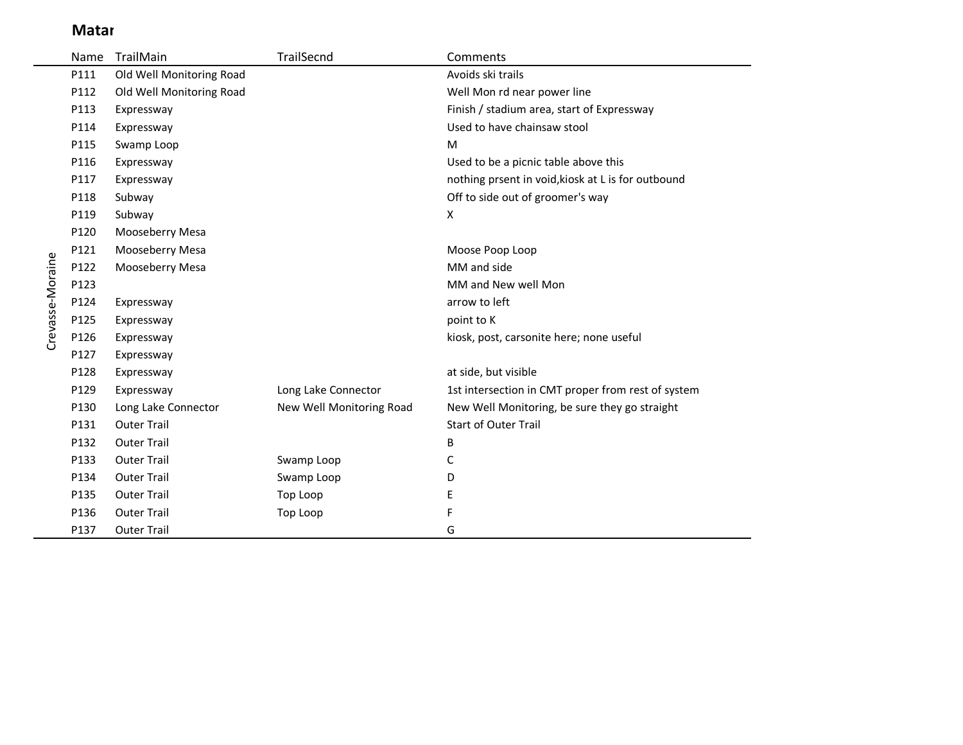## **Matar**

 $\sim$ 

|                  | Name | TrailMain                | TrailSecnd               | Comments                                           |
|------------------|------|--------------------------|--------------------------|----------------------------------------------------|
|                  | P111 | Old Well Monitoring Road |                          | Avoids ski trails                                  |
|                  | P112 | Old Well Monitoring Road |                          | Well Mon rd near power line                        |
|                  | P113 | Expressway               |                          | Finish / stadium area, start of Expressway         |
|                  | P114 | Expressway               |                          | Used to have chainsaw stool                        |
|                  | P115 | Swamp Loop               |                          | M                                                  |
|                  | P116 | Expressway               |                          | Used to be a picnic table above this               |
|                  | P117 | Expressway               |                          | nothing prsent in void, kiosk at L is for outbound |
|                  | P118 | Subway                   |                          | Off to side out of groomer's way                   |
|                  | P119 | Subway                   |                          | Χ                                                  |
|                  | P120 | Mooseberry Mesa          |                          |                                                    |
|                  | P121 | Mooseberry Mesa          |                          | Moose Poop Loop                                    |
|                  | P122 | Mooseberry Mesa          |                          | MM and side                                        |
| Crevasse-Moraine | P123 |                          |                          | MM and New well Mon                                |
|                  | P124 | Expressway               |                          | arrow to left                                      |
|                  | P125 | Expressway               |                          | point to K                                         |
|                  | P126 | Expressway               |                          | kiosk, post, carsonite here; none useful           |
|                  | P127 | Expressway               |                          |                                                    |
|                  | P128 | Expressway               |                          | at side, but visible                               |
|                  | P129 | Expressway               | Long Lake Connector      | 1st intersection in CMT proper from rest of system |
|                  | P130 | Long Lake Connector      | New Well Monitoring Road | New Well Monitoring, be sure they go straight      |
|                  | P131 | <b>Outer Trail</b>       |                          | <b>Start of Outer Trail</b>                        |
|                  | P132 | <b>Outer Trail</b>       |                          | B                                                  |
|                  | P133 | <b>Outer Trail</b>       | Swamp Loop               | C                                                  |
|                  | P134 | <b>Outer Trail</b>       | Swamp Loop               | D                                                  |
|                  | P135 | <b>Outer Trail</b>       | Top Loop                 | E                                                  |
|                  | P136 | <b>Outer Trail</b>       | Top Loop                 | F                                                  |
|                  | P137 | <b>Outer Trail</b>       |                          | G                                                  |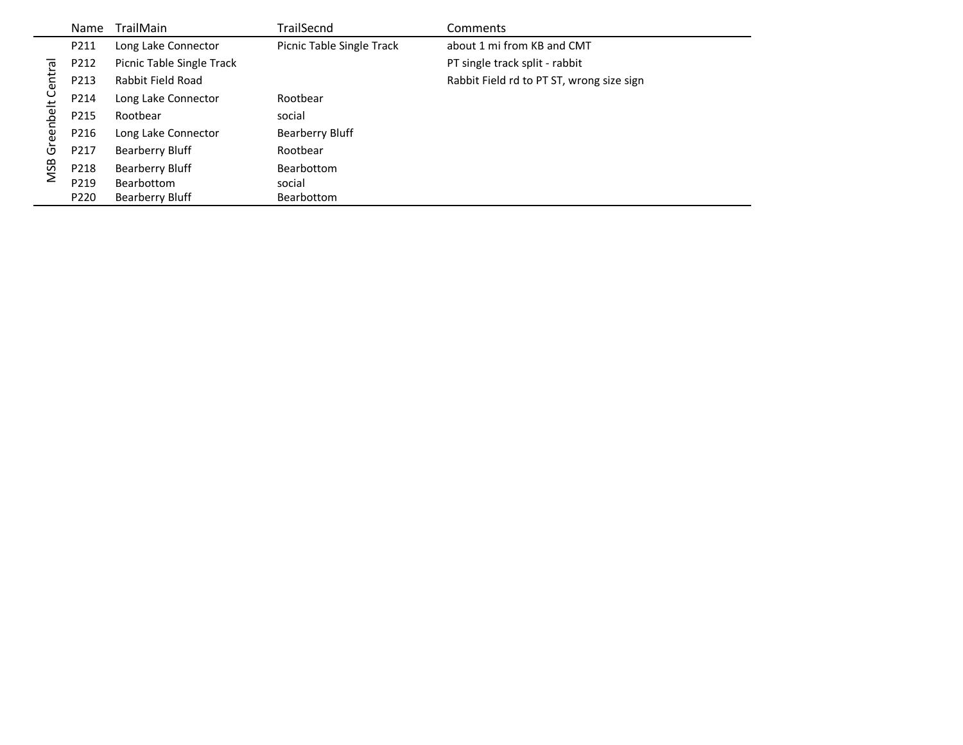|            | Name | <b>TrailMain</b>          | TrailSecnd                | Comments                                  |
|------------|------|---------------------------|---------------------------|-------------------------------------------|
|            | P211 | Long Lake Connector       | Picnic Table Single Track | about 1 mi from KB and CMT                |
|            | P212 | Picnic Table Single Track |                           | PT single track split - rabbit            |
| Central    | P213 | Rabbit Field Road         |                           | Rabbit Field rd to PT ST, wrong size sign |
|            | P214 | Long Lake Connector       | Rootbear                  |                                           |
| eenbelt    | P215 | Rootbear                  | social                    |                                           |
|            | P216 | Long Lake Connector       | Bearberry Bluff           |                                           |
| উ          | P217 | <b>Bearberry Bluff</b>    | Rootbear                  |                                           |
| <b>MSB</b> | P218 | <b>Bearberry Bluff</b>    | Bearbottom                |                                           |
|            | P219 | Bearbottom                | social                    |                                           |
|            | P220 | <b>Bearberry Bluff</b>    | <b>Bearbottom</b>         |                                           |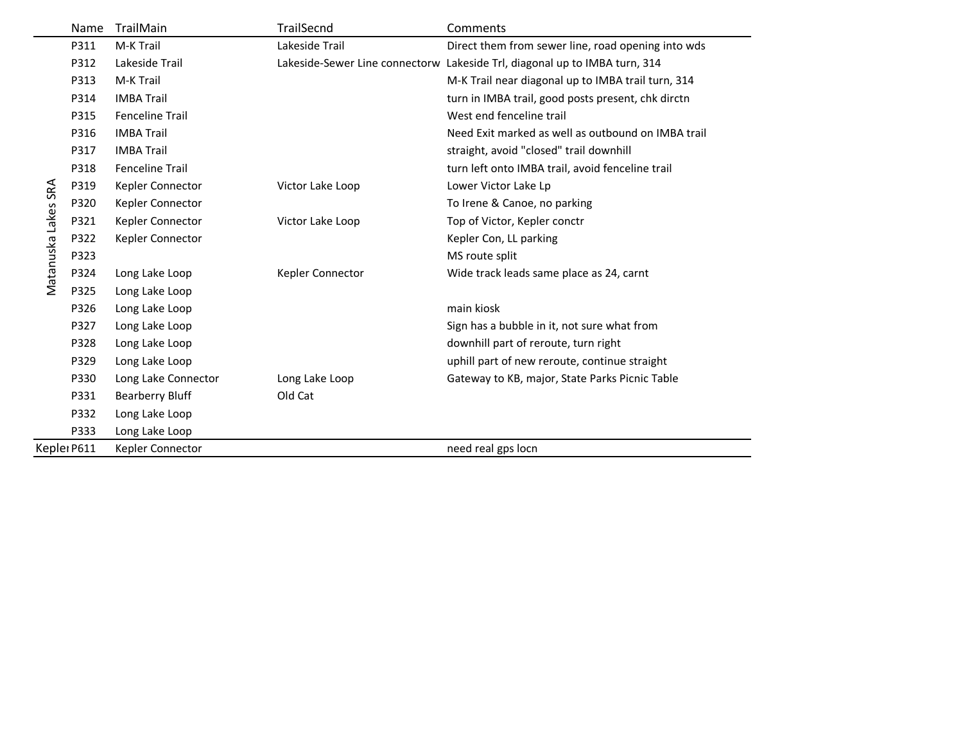|                     | Name | TrailMain              | <b>TrailSecnd</b> | Comments                                                                   |
|---------------------|------|------------------------|-------------------|----------------------------------------------------------------------------|
|                     | P311 | M-K Trail              | Lakeside Trail    | Direct them from sewer line, road opening into wds                         |
|                     | P312 | Lakeside Trail         |                   | Lakeside-Sewer Line connectorw Lakeside Trl, diagonal up to IMBA turn, 314 |
|                     | P313 | M-K Trail              |                   | M-K Trail near diagonal up to IMBA trail turn, 314                         |
|                     | P314 | <b>IMBA Trail</b>      |                   | turn in IMBA trail, good posts present, chk dirctn                         |
|                     | P315 | <b>Fenceline Trail</b> |                   | West end fenceline trail                                                   |
|                     | P316 | <b>IMBA Trail</b>      |                   | Need Exit marked as well as outbound on IMBA trail                         |
|                     | P317 | <b>IMBA Trail</b>      |                   | straight, avoid "closed" trail downhill                                    |
|                     | P318 | <b>Fenceline Trail</b> |                   | turn left onto IMBA trail, avoid fenceline trail                           |
|                     | P319 | Kepler Connector       | Victor Lake Loop  | Lower Victor Lake Lp                                                       |
|                     | P320 | Kepler Connector       |                   | To Irene & Canoe, no parking                                               |
|                     | P321 | Kepler Connector       | Victor Lake Loop  | Top of Victor, Kepler conctr                                               |
|                     | P322 | Kepler Connector       |                   | Kepler Con, LL parking                                                     |
|                     | P323 |                        |                   | MS route split                                                             |
| Matanuska Lakes SRA | P324 | Long Lake Loop         | Kepler Connector  | Wide track leads same place as 24, carnt                                   |
|                     | P325 | Long Lake Loop         |                   |                                                                            |
|                     | P326 | Long Lake Loop         |                   | main kiosk                                                                 |
|                     | P327 | Long Lake Loop         |                   | Sign has a bubble in it, not sure what from                                |
|                     | P328 | Long Lake Loop         |                   | downhill part of reroute, turn right                                       |
|                     | P329 | Long Lake Loop         |                   | uphill part of new reroute, continue straight                              |
|                     | P330 | Long Lake Connector    | Long Lake Loop    | Gateway to KB, major, State Parks Picnic Table                             |
|                     | P331 | <b>Bearberry Bluff</b> | Old Cat           |                                                                            |
|                     | P332 | Long Lake Loop         |                   |                                                                            |
|                     | P333 | Long Lake Loop         |                   |                                                                            |
| Kepler P611         |      | Kepler Connector       |                   | need real gps locn                                                         |